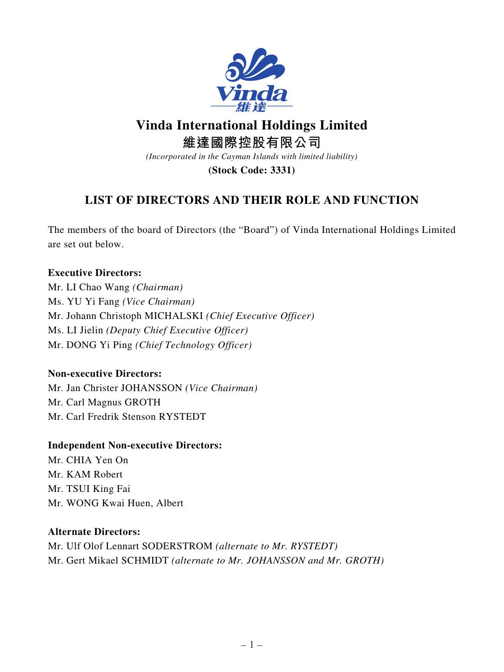

# **Vinda International Holdings Limited**

**維達國際控股有限公司**

*(Incorporated in the Cayman Islands with limited liability)*

**(Stock Code: 3331)**

# **LIST OF DIRECTORS AND THEIR ROLE AND FUNCTION**

The members of the board of Directors (the "Board") of Vinda International Holdings Limited are set out below.

### **Executive Directors:**

Mr. LI Chao Wang *(Chairman)* Ms. YU Yi Fang *(Vice Chairman)* Mr. Johann Christoph MICHALSKI *(Chief Executive Officer)* Ms. LI Jielin *(Deputy Chief Executive Officer)* Mr. DONG Yi Ping *(Chief Technology Officer)*

## **Non-executive Directors:**

Mr. Jan Christer JOHANSSON *(Vice Chairman)* Mr. Carl Magnus GROTH Mr. Carl Fredrik Stenson RYSTEDT

#### **Independent Non-executive Directors:**

Mr. CHIA Yen On Mr. KAM Robert Mr. TSUI King Fai Mr. WONG Kwai Huen, Albert

#### **Alternate Directors:**

Mr. Ulf Olof Lennart SODERSTROM *(alternate to Mr. RYSTEDT)* Mr. Gert Mikael SCHMIDT *(alternate to Mr. JOHANSSON and Mr. GROTH)*